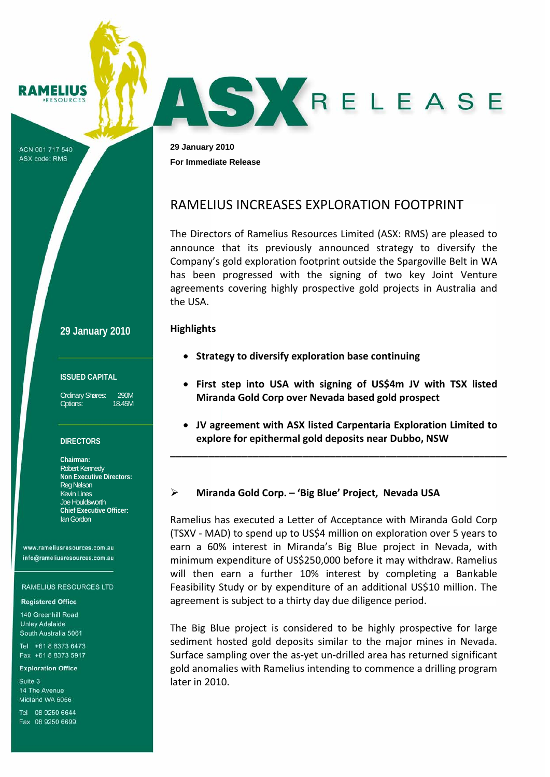**MELIUS**  $S$   $O$   $I$   $I$   $P$   $C$   $F$ 

ACN 001 717 540 **ASX code: RMS** 

**29 January 2010 For Immediate Release** 

# RAMELIUS INCREASES EXPLORATION FOOTPRINT

The Directors of Ramelius Resources Limited (ASX: RMS) are pleased to announce that its previously announced strategy to diversify the Company's gold exploration footprint outside the Spargoville Belt in WA has been progressed with the signing of two key Joint Venture agreements covering highly prospective gold projects in Australia and the USA.

SKRELEASE

### **Highlights**

- **Strategy to diversify exploration base continuing**
- **First step into USA with signing of US\$4m JV with TSX listed Miranda Gold Corp over Nevada based gold prospect**
- **JV agreement with ASX listed Carpentaria Exploration Limited to explore for epithermal gold deposits near Dubbo, NSW**

**\_\_\_\_\_\_\_\_\_\_\_\_\_\_\_\_\_\_\_\_\_\_\_\_\_\_\_\_\_\_\_\_\_\_\_\_\_\_\_\_\_\_\_\_\_\_\_\_\_\_\_\_\_\_\_\_\_\_\_\_\_**

# ¾ **Miranda Gold Corp. – 'Big Blue' Project, Nevada USA**

Ramelius has executed a Letter of Acceptance with Miranda Gold Corp (TSXV ‐ MAD) to spend up to US\$4 million on exploration over 5 years to earn a 60% interest in Miranda's Big Blue project in Nevada, with minimum expenditure of US\$250,000 before it may withdraw. Ramelius will then earn a further 10% interest by completing a Bankable Feasibility Study or by expenditure of an additional US\$10 million. The agreement is subject to a thirty day due diligence period.

The Big Blue project is considered to be highly prospective for large sediment hosted gold deposits similar to the major mines in Nevada. Surface sampling over the as‐yet un‐drilled area has returned significant gold anomalies with Ramelius intending to commence a drilling program later in 2010.

## **29 January 2010**

### **ISSUED CAPITAL**

Ordinary Shares: 290M Options: 18.45M

### **DIRECTORS**

**Chairman:**  Robert Kennedy **Non Executive Directors:**  Reg Nelson Kevin Lines Joe Houldsworth **Chief Executive Officer:**  Ian Gordon

www.rameliusresources.com.au info@rameliusresources.com.au

#### **RAMELIUS RESOURCES LTD**

### **Registered Office**

140 Greenhill Road **Unley Adelaide** South Australia 5061

Tel +61 8 8373 6473 Fax +61 8 8373 5917

### **Exploration Office**

Suite 3 14 The Avenue Midland WA 6056

Tel 08 9250 6644 Fax 08 9250 6699